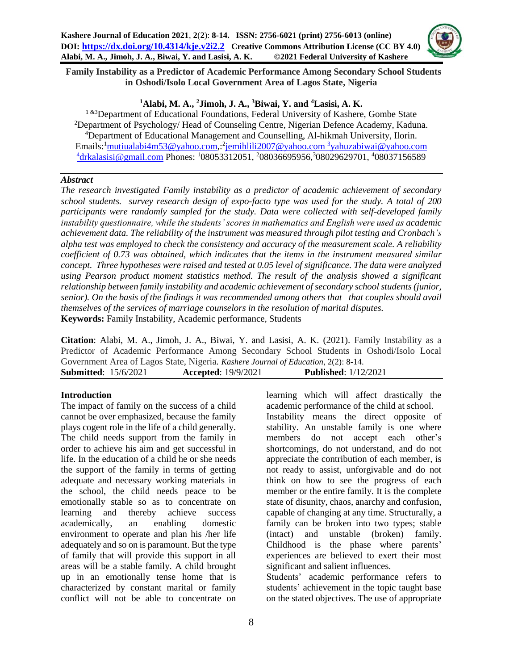

 **Family Instability as a Predictor of Academic Performance Among Secondary School Students in Oshodi/Isolo Local Government Area of Lagos State, Nigeria**

## **<sup>1</sup>Alabi, M. A., <sup>2</sup>Jimoh, J. A., <sup>3</sup>Biwai, Y. and <sup>4</sup>Lasisi, A. K.**

<sup>1 &3</sup>Department of Educational Foundations, Federal University of Kashere, Gombe State <sup>2</sup>Department of Psychology/ Head of Counseling Centre, Nigerian Defence Academy, Kaduna. <sup>4</sup>Department of Educational Management and Counselling, Al-hikmah University, Ilorin. Emails: <del>'[mutiualabi4m53@yahoo.com,](mailto:mutiualabi4m53@yahoo.com): <sup>2</sup>[jemihlili2007@yahoo.com](mailto:jemihlili2007@yahoo.com) <sup>3</sup>[yahuzabiwai@yahoo.com](mailto:3yahuzabiwai@yahoo.com)</del> <sup>4</sup>[drkalasisi@gmail.com](mailto:4drkalasisi@gmail.com) Phones: <sup>1</sup>08053312051, <sup>2</sup>08036695956,<sup>3</sup>08029629701, <sup>4</sup>08037156589

#### *Abstract*

*The research investigated Family instability as a predictor of academic achievement of secondary school students. survey research design of expo-facto type was used for the study. A total of 200 participants were randomly sampled for the study. Data were collected with self-developed family instability questionnaire, while the students' scores in mathematics and English were used as academic achievement data. The reliability of the instrument was measured through pilot testing and Cronbach's alpha test was employed to check the consistency and accuracy of the measurement scale. A reliability coefficient of 0.73 was obtained, which indicates that the items in the instrument measured similar concept. Three hypotheses were raised and tested at 0.05 level of significance. The data were analyzed using Pearson product moment statistics method. The result of the analysis showed a significant relationship between family instability and academic achievement of secondary school students (junior, senior). On the basis of the findings it was recommended among others that that couples should avail themselves of the services of marriage counselors in the resolution of marital disputes.*  **Keywords:** Family Instability, Academic performance, Students

**Citation**: Alabi, M. A., Jimoh, J. A., Biwai, Y. and Lasisi, A. K. (2021). Family Instability as a Predictor of Academic Performance Among Secondary School Students in Oshodi/Isolo Local Government Area of Lagos State, Nigeria*. Kashere Journal of Education*, 2(2): 8-14. **Submitted**: 15/6/2021 **Accepted**: 19/9/2021 **Published**: 1/12/2021

## **Introduction**

The impact of family on the success of a child cannot be over emphasized, because the family plays cogent role in the life of a child generally. The child needs support from the family in order to achieve his aim and get successful in life. In the education of a child he or she needs the support of the family in terms of getting adequate and necessary working materials in the school, the child needs peace to be emotionally stable so as to concentrate on learning and thereby achieve success academically, an enabling domestic environment to operate and plan his /her life adequately and so on is paramount. But the type of family that will provide this support in all areas will be a stable family. A child brought up in an emotionally tense home that is characterized by constant marital or family conflict will not be able to concentrate on learning which will affect drastically the academic performance of the child at school. Instability means the direct opposite of stability. An unstable family is one where members do not accept each other's shortcomings, do not understand, and do not appreciate the contribution of each member, is not ready to assist, unforgivable and do not think on how to see the progress of each member or the entire family. It is the complete state of disunity, chaos, anarchy and confusion, capable of changing at any time. Structurally, a family can be broken into two types; stable (intact) and unstable (broken) family. Childhood is the phase where parents' experiences are believed to exert their most significant and salient influences.

Students' academic performance refers to students' achievement in the topic taught base on the stated objectives. The use of appropriate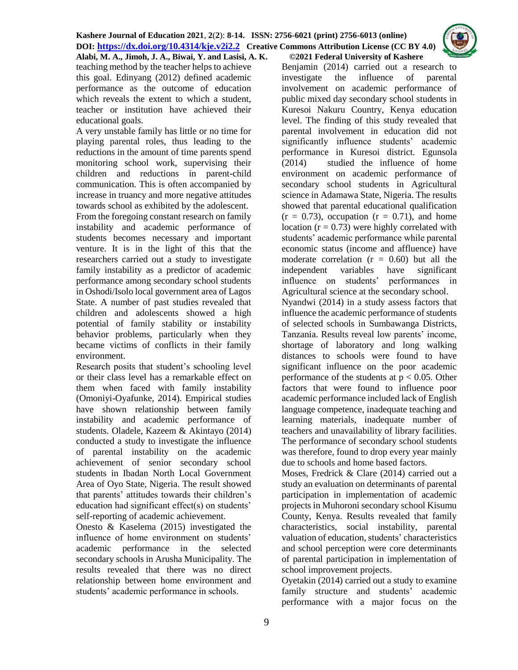teaching method by the teacher helps to achieve this goal. Edinyang (2012) defined academic performance as the outcome of education which reveals the extent to which a student, teacher or institution have achieved their educational goals.

A very unstable family has little or no time for playing parental roles, thus leading to the reductions in the amount of time parents spend monitoring school work, supervising their children and reductions in parent-child communication. This is often accompanied by increase in truancy and more negative attitudes towards school as exhibited by the adolescent.

From the foregoing constant research on family instability and academic performance of students becomes necessary and important venture. It is in the light of this that the researchers carried out a study to investigate family instability as a predictor of academic performance among secondary school students in Oshodi/Isolo local government area of Lagos State. A number of past studies revealed that children and adolescents showed a high potential of family stability or instability behavior problems, particularly when they became victims of conflicts in their family environment.

Research posits that student's schooling level or their class level has a remarkable effect on them when faced with family instability (Omoniyi-Oyafunke, 2014). Empirical studies have shown relationship between family instability and academic performance of students. Oladele, Kazeem & Akintayo (2014) conducted a study to investigate the influence of parental instability on the academic achievement of senior secondary school students in Ibadan North Local Government Area of Oyo State, Nigeria. The result showed that parents' attitudes towards their children's education had significant effect(s) on students' self-reporting of academic achievement.

Onesto & Kaselema (2015) investigated the influence of home environment on students' academic performance in the selected secondary schools in Arusha Municipality. The results revealed that there was no direct relationship between home environment and students' academic performance in schools.

#### **Alabi, M. A., Jimoh, J. A., Biwai, Y. and Lasisi, A. K. ©2021 Federal University of Kashere**

Benjamin (2014) carried out a research to investigate the influence of parental involvement on academic performance of public mixed day secondary school students in Kuresoi Nakuru Country, Kenya education level. The finding of this study revealed that parental involvement in education did not significantly influence students' academic performance in Kuresoi district. Egunsola (2014) studied the influence of home environment on academic performance of secondary school students in Agricultural science in Adamawa State, Nigeria. The results showed that parental educational qualification  $(r = 0.73)$ , occupation  $(r = 0.71)$ , and home location ( $r = 0.73$ ) were highly correlated with students' academic performance while parental economic status (income and affluence) have moderate correlation  $(r = 0.60)$  but all the independent variables have significant influence on students' performances in Agricultural science at the secondary school.

Nyandwi (2014) in a study assess factors that influence the academic performance of students of selected schools in Sumbawanga Districts, Tanzania. Results reveal low parents' income, shortage of laboratory and long walking distances to schools were found to have significant influence on the poor academic performance of the students at  $p < 0.05$ . Other factors that were found to influence poor academic performance included lack of English language competence, inadequate teaching and learning materials, inadequate number of teachers and unavailability of library facilities. The performance of secondary school students was therefore, found to drop every year mainly due to schools and home based factors.

Moses, Fredrick & Clare (2014) carried out a study an evaluation on determinants of parental participation in implementation of academic projects in Muhoroni secondary school Kisumu County, Kenya. Results revealed that family characteristics, social instability, parental valuation of education, students' characteristics and school perception were core determinants of parental participation in implementation of school improvement projects.

Oyetakin (2014) carried out a study to examine family structure and students' academic performance with a major focus on the

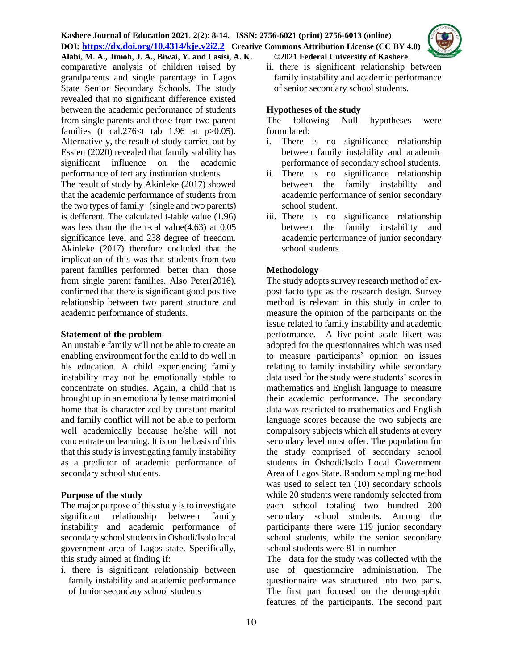**Alabi, M. A., Jimoh, J. A., Biwai, Y. and Lasisi, A. K. ©2021 Federal University of Kashere** comparative analysis of children raised by grandparents and single parentage in Lagos State Senior Secondary Schools. The study revealed that no significant difference existed between the academic performance of students from single parents and those from two parent families (t cal.276 $lt$ t tab 1.96 at p $>0.05$ ). Alternatively, the result of study carried out by Essien (2020) revealed that family stability has significant influence on the academic performance of tertiary institution students The result of study by Akinleke (2017) showed that the academic performance of students from the two types of family (single and two parents) is defferent. The calculated t-table value (1.96) was less than the the t-cal value(4.63) at 0.05 significance level and 238 degree of freedom. Akinleke (2017) therefore cocluded that the implication of this was that students from two parent families performed better than those from single parent families. Also Peter(2016), confirmed that there is significant good positive relationship between two parent structure and academic performance of students.

#### **Statement of the problem**

An unstable family will not be able to create an enabling environment for the child to do well in his education. A child experiencing family instability may not be emotionally stable to concentrate on studies. Again, a child that is brought up in an emotionally tense matrimonial home that is characterized by constant marital and family conflict will not be able to perform well academically because he/she will not concentrate on learning. It is on the basis of this that this study is investigating family instability as a predictor of academic performance of secondary school students.

## **Purpose of the study**

The major purpose of this study is to investigate significant relationship between family instability and academic performance of secondary school students in Oshodi/Isolo local government area of Lagos state. Specifically, this study aimed at finding if:

i. there is significant relationship between family instability and academic performance of Junior secondary school students

ii. there is significant relationship between family instability and academic performance of senior secondary school students.

## **Hypotheses of the study**

The following Null hypotheses were formulated:

- i. There is no significance relationship between family instability and academic performance of secondary school students.
- ii. There is no significance relationship between the family instability and academic performance of senior secondary school student.
- iii. There is no significance relationship between the family instability and academic performance of junior secondary school students.

# **Methodology**

The study adopts survey research method of expost facto type as the research design. Survey method is relevant in this study in order to measure the opinion of the participants on the issue related to family instability and academic performance. A five-point scale likert was adopted for the questionnaires which was used to measure participants' opinion on issues relating to family instability while secondary data used for the study were students' scores in mathematics and English language to measure their academic performance. The secondary data was restricted to mathematics and English language scores because the two subjects are compulsory subjects which all students at every secondary level must offer. The population for the study comprised of secondary school students in Oshodi/Isolo Local Government Area of Lagos State. Random sampling method was used to select ten (10) secondary schools while 20 students were randomly selected from each school totaling two hundred 200 secondary school students. Among the participants there were 119 junior secondary school students, while the senior secondary school students were 81 in number.

The data for the study was collected with the use of questionnaire administration. The questionnaire was structured into two parts. The first part focused on the demographic features of the participants. The second part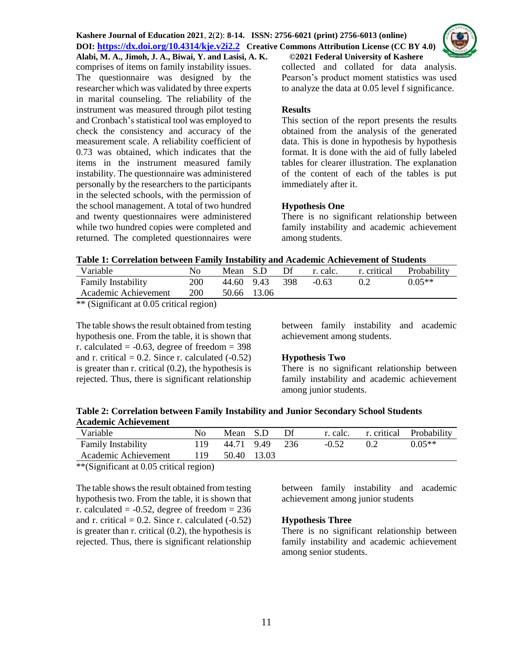comprises of items on family instability issues. The questionnaire was designed by the researcher which was validated by three experts in marital counseling. The reliability of the instrument was measured through pilot testing and Cronbach's statistical tool was employed to check the consistency and accuracy of the measurement scale. A reliability coefficient of 0.73 was obtained, which indicates that the items in the instrument measured family instability. The questionnaire was administered personally by the researchers to the participants in the selected schools, with the permission of the school management. A total of two hundred and twenty questionnaires were administered while two hundred copies were completed and returned. The completed questionnaires were



#### **Results**

This section of the report presents the results obtained from the analysis of the generated data. This is done in hypothesis by hypothesis format. It is done with the aid of fully labeled tables for clearer illustration. The explanation of the content of each of the tables is put immediately after it.

## **Hypothesis One**

There is no significant relationship between family instability and academic achievement among students.

**Table 1: Correlation between Family Instability and Academic Achievement of Students**

| Variable                  | No         | Mean S.D   |             | Df  | r. calc. | r. critical | Probability |
|---------------------------|------------|------------|-------------|-----|----------|-------------|-------------|
| <b>Family Instability</b> | 200        | 44.60 9.43 |             | 398 | $-0.63$  |             | $0.05**$    |
| Academic Achievement      | <b>200</b> |            | 50.66 13.06 |     |          |             |             |

\*\* (Significant at 0.05 critical region)

The table shows the result obtained from testing hypothesis one. From the table, it is shown that r. calculated  $= -0.63$ , degree of freedom  $= 398$ and r. critical  $= 0.2$ . Since r. calculated  $(-0.52)$ is greater than r. critical (0.2), the hypothesis is rejected. Thus, there is significant relationship between family instability and academic achievement among students.

## **Hypothesis Two**

There is no significant relationship between family instability and academic achievement among junior students.

## **Table 2: Correlation between Family Instability and Junior Secondary School Students Academic Achievement**

| Variable                  | Nο  | Mean S.D    | - Df  |         |    | r. calc. r. critical Probability |
|---------------------------|-----|-------------|-------|---------|----|----------------------------------|
| <b>Family Instability</b> | 119 | 44.71 9.49  | - 236 | $-0.52$ | 02 | $0.05**$                         |
| Academic Achievement      | 119 | 50.40 13.03 |       |         |    |                                  |

\*\*(Significant at 0.05 critical region)

The table shows the result obtained from testing hypothesis two. From the table, it is shown that r. calculated  $= -0.52$ , degree of freedom  $= 236$ and r. critical  $= 0.2$ . Since r. calculated  $(-0.52)$ is greater than r. critical (0.2), the hypothesis is rejected. Thus, there is significant relationship

between family instability and academic achievement among junior students

## **Hypothesis Three**

There is no significant relationship between family instability and academic achievement among senior students.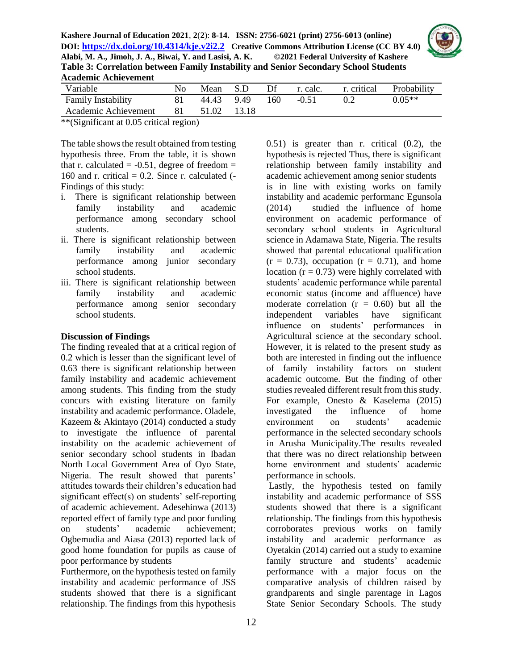

| Variable                  | No. | Mean       | -S.D   | Df  | r. calc. | r. critical | Probability |
|---------------------------|-----|------------|--------|-----|----------|-------------|-------------|
| <b>Family Instability</b> |     | 44.43 9.49 |        | 160 | $-0.51$  |             | $0.05**$    |
| Academic Achievement      | 81  | 51.02      | -13.18 |     |          |             |             |

\*\*(Significant at 0.05 critical region)

The table shows the result obtained from testing hypothesis three. From the table, it is shown that r. calculated  $= -0.51$ , degree of freedom  $=$ 160 and r. critical  $= 0.2$ . Since r. calculated  $(-1)$ Findings of this study:

- i. There is significant relationship between family instability and academic performance among secondary school students.
- ii. There is significant relationship between family instability and academic performance among junior secondary school students.
- iii. There is significant relationship between family instability and academic performance among senior secondary school students.

## **Discussion of Findings**

The finding revealed that at a critical region of 0.2 which is lesser than the significant level of 0.63 there is significant relationship between family instability and academic achievement among students. This finding from the study concurs with existing literature on family instability and academic performance. Oladele, Kazeem & Akintayo (2014) conducted a study to investigate the influence of parental instability on the academic achievement of senior secondary school students in Ibadan North Local Government Area of Oyo State, Nigeria. The result showed that parents' attitudes towards their children's education had significant effect(s) on students' self-reporting of academic achievement. Adesehinwa (2013) reported effect of family type and poor funding on students' academic achievement; Ogbemudia and Aiasa (2013) reported lack of good home foundation for pupils as cause of poor performance by students

Furthermore, on the hypothesis tested on family instability and academic performance of JSS students showed that there is a significant relationship. The findings from this hypothesis

0.51) is greater than r. critical (0.2), the hypothesis is rejected Thus, there is significant relationship between family instability and academic achievement among senior students is in line with existing works on family instability and academic performanc Egunsola (2014) studied the influence of home environment on academic performance of secondary school students in Agricultural science in Adamawa State, Nigeria. The results showed that parental educational qualification  $(r = 0.73)$ , occupation  $(r = 0.71)$ , and home location  $(r = 0.73)$  were highly correlated with students' academic performance while parental economic status (income and affluence) have moderate correlation  $(r = 0.60)$  but all the independent variables have significant influence on students' performances in Agricultural science at the secondary school. However, it is related to the present study as both are interested in finding out the influence of family instability factors on student academic outcome. But the finding of other studies revealed different result from this study. For example, Onesto & Kaselema (2015) investigated the influence of home environment on students' academic performance in the selected secondary schools in Arusha Municipality.The results revealed that there was no direct relationship between home environment and students' academic performance in schools.

Lastly, the hypothesis tested on family instability and academic performance of SSS students showed that there is a significant relationship. The findings from this hypothesis corroborates previous works on family instability and academic performance as Oyetakin (2014) carried out a study to examine family structure and students' academic performance with a major focus on the comparative analysis of children raised by grandparents and single parentage in Lagos State Senior Secondary Schools. The study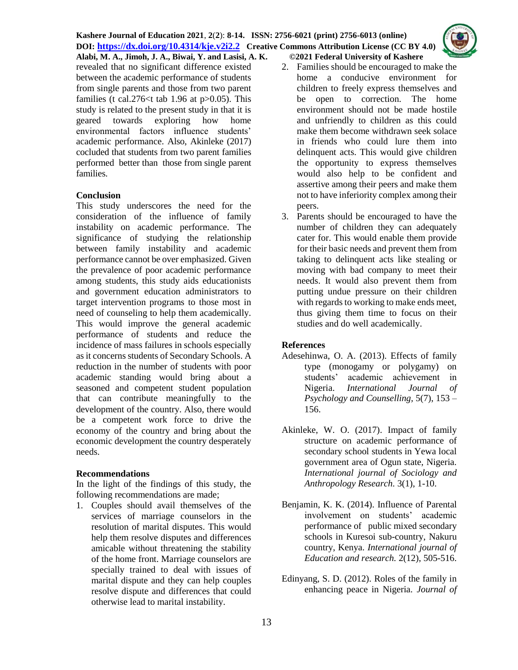**Alabi, M. A., Jimoh, J. A., Biwai, Y. and Lasisi, A. K. ©2021 Federal University of Kashere** revealed that no significant difference existed between the academic performance of students from single parents and those from two parent families (t cal.  $276 \leq t$  tab 1.96 at p $> 0.05$ ). This study is related to the present study in that it is geared towards exploring how home environmental factors influence students' academic performance. Also, Akinleke (2017) cocluded that students from two parent families performed better than those from single parent families.

## **Conclusion**

This study underscores the need for the consideration of the influence of family instability on academic performance. The significance of studying the relationship between family instability and academic performance cannot be over emphasized. Given the prevalence of poor academic performance among students, this study aids educationists and government education administrators to target intervention programs to those most in need of counseling to help them academically. This would improve the general academic performance of students and reduce the incidence of mass failures in schools especially as it concerns students of Secondary Schools. A reduction in the number of students with poor academic standing would bring about a seasoned and competent student population that can contribute meaningfully to the development of the country. Also, there would be a competent work force to drive the economy of the country and bring about the economic development the country desperately needs.

#### **Recommendations**

In the light of the findings of this study, the following recommendations are made;

1. Couples should avail themselves of the services of marriage counselors in the resolution of marital disputes. This would help them resolve disputes and differences amicable without threatening the stability of the home front. Marriage counselors are specially trained to deal with issues of marital dispute and they can help couples resolve dispute and differences that could otherwise lead to marital instability.

- 2. Families should be encouraged to make the home a conducive environment for children to freely express themselves and be open to correction. The home environment should not be made hostile and unfriendly to children as this could make them become withdrawn seek solace in friends who could lure them into delinquent acts. This would give children the opportunity to express themselves would also help to be confident and assertive among their peers and make them not to have inferiority complex among their peers.
- 3. Parents should be encouraged to have the number of children they can adequately cater for. This would enable them provide for their basic needs and prevent them from taking to delinquent acts like stealing or moving with bad company to meet their needs. It would also prevent them from putting undue pressure on their children with regards to working to make ends meet, thus giving them time to focus on their studies and do well academically.

#### **References**

- Adesehinwa, O. A. (2013). Effects of family type (monogamy or polygamy) on students' academic achievement in Nigeria. *International Journal of Psychology and Counselling,* 5(7), 153 – 156.
- Akinleke, W. O. (2017). Impact of family structure on academic performance of secondary school students in Yewa local government area of Ogun state, Nigeria*. International journal of Sociology and Anthropology Research.* 3(1), 1-10.
- Benjamin, K. K. (2014). Influence of Parental involvement on students' academic performance ofpublic mixed secondary schools in Kuresoi sub-country, Nakuru country, Kenya. *International journal of Education and research.* 2(12), 505-516.
- Edinyang, S. D. (2012). Roles of the family in enhancing peace in Nigeria*. Journal of*